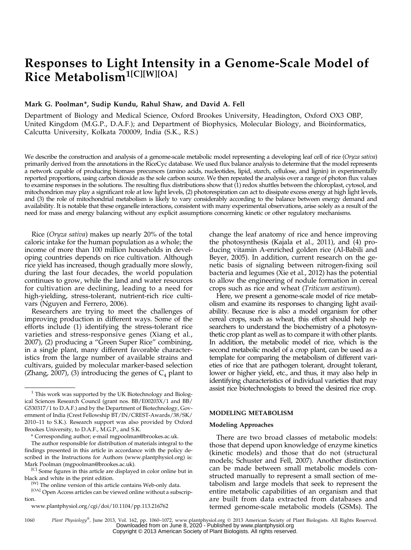# Responses to Light Intensity in a Genome-Scale Model of Rice Metabolism1[C][W][OA]

# Mark G. Poolman\*, Sudip Kundu, Rahul Shaw, and David A. Fell

Department of Biology and Medical Science, Oxford Brookes University, Headington, Oxford OX3 OBP, United Kingdom (M.G.P., D.A.F.); and Department of Biophysics, Molecular Biology, and Bioinformatics, Calcutta University, Kolkata 700009, India (S.K., R.S.)

We describe the construction and analysis of a genome-scale metabolic model representing a developing leaf cell of rice (Oryza sativa) primarily derived from the annotations in the RiceCyc database. We used flux balance analysis to determine that the model represents a network capable of producing biomass precursors (amino acids, nucleotides, lipid, starch, cellulose, and lignin) in experimentally reported proportions, using carbon dioxide as the sole carbon source. We then repeated the analysis over a range of photon flux values to examine responses in the solutions. The resulting flux distributions show that (1) redox shuttles between the chloroplast, cytosol, and mitochondrion may play a significant role at low light levels, (2) photorespiration can act to dissipate excess energy at high light levels, and (3) the role of mitochondrial metabolism is likely to vary considerably according to the balance between energy demand and availability. It is notable that these organelle interactions, consistent with many experimental observations, arise solely as a result of the need for mass and energy balancing without any explicit assumptions concerning kinetic or other regulatory mechanisms.

Rice (Oryza sativa) makes up nearly 20% of the total caloric intake for the human population as a whole; the income of more than 100 million households in developing countries depends on rice cultivation. Although rice yield has increased, though gradually more slowly, during the last four decades, the world population continues to grow, while the land and water resources for cultivation are declining, leading to a need for high-yielding, stress-tolerant, nutrient-rich rice cultivars (Nguyen and Ferrero, 2006).

Researchers are trying to meet the challenges of improving production in different ways. Some of the efforts include (1) identifying the stress-tolerant rice varieties and stress-responsive genes (Xiang et al., 2007), (2) producing a "Green Super Rice" combining, in a single plant, many different favorable characteristics from the large number of available strains and cultivars, guided by molecular marker-based selection (Zhang, 2007), (3) introducing the genes of  $C_4$  plant to

The author responsible for distribution of materials integral to the findings presented in this article in accordance with the policy described in the Instructions for Authors ([www.plantphysiol.org\)](http://www.plantphysiol.org) is: Mark Poolman [\(mgpoolman@brookes.ac.uk\)](mailto:mgpoolman@brookes.ac.uk).

<sup>[C]</sup> Some figures in this article are displayed in color online but in black and white in the print edition.

change the leaf anatomy of rice and hence improving the photosynthesis (Kajala et al., 2011), and (4) producing vitamin A-enriched golden rice (Al-Babili and Beyer, 2005). In addition, current research on the genetic basis of signaling between nitrogen-fixing soil bacteria and legumes (Xie et al., 2012) has the potential to allow the engineering of nodule formation in cereal crops such as rice and wheat (Triticum aestivum).

Here, we present a genome-scale model of rice metabolism and examine its responses to changing light availability. Because rice is also a model organism for other cereal crops, such as wheat, this effort should help researchers to understand the biochemistry of a photosynthetic crop plant as well as to compare it with other plants. In addition, the metabolic model of rice, which is the second metabolic model of a crop plant, can be used as a template for comparing the metabolism of different varieties of rice that are pathogen tolerant, drought tolerant, lower or higher yield, etc., and thus, it may also help in identifying characteristics of individual varieties that may assist rice biotechnologists to breed the desired rice crop.

# MODELING METABOLISM

#### Modeling Approaches

There are two broad classes of metabolic models: those that depend upon knowledge of enzyme kinetics (kinetic models) and those that do not (structural models; Schuster and Fell, 2007). Another distinction can be made between small metabolic models constructed manually to represent a small section of metabolism and large models that seek to represent the entire metabolic capabilities of an organism and that are built from data extracted from databases and termed genome-scale metabolic models (GSMs). The

1060 Plant Physiology®, June 2013, Vol. 162, pp. 1060–1072, [www.plantphysiol.org](http://www.plantphysiol.org) © 2013 American Society of Plant Biologists. All Rights Reserved.<br>Downloaded from on June 8, 2020 - Published by www.plantphysiol.org Copyright © 2013 American Society of Plant Biologists. All rights reserved.

<sup>&</sup>lt;sup>1</sup> This work was supported by the UK Biotechnology and Biological Sciences Research Council (grant nos. BB/E00203X/1 and BB/ G530317/1 to D.A.F.) and by the Department of Biotechnology, Government of India (Crest Fellowship BT/IN/CREST-Awards/38/SK/ 2010–11 to S.K.). Research support was also provided by Oxford Brookes University, to D.A.F., M.G.P., and S.K.

<sup>\*</sup> Corresponding author; e-mail [mgpoolman@brookes.ac.uk.](mailto:mgpoolman@brookes.ac.uk)

<sup>[</sup>W] The online version of this article contains Web-only data.

<sup>[</sup>OA] Open Access articles can be viewed online without a subscription.

[www.plantphysiol.org/cgi/doi/10.1104/pp.113.216762](http://www.plantphysiol.org/cgi/doi/10.1104/pp.113.216762)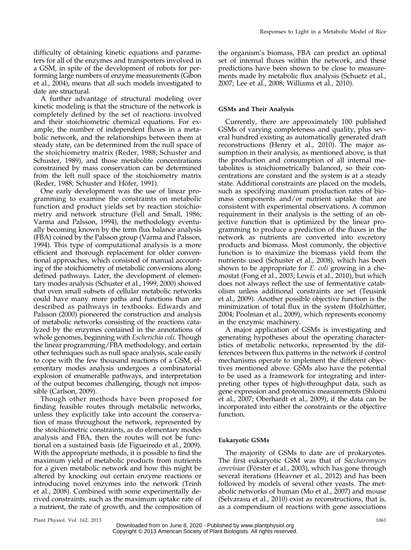difficulty of obtaining kinetic equations and parameters for all of the enzymes and transporters involved in a GSM, in spite of the development of robots for performing large numbers of enzyme measurements (Gibon et al., 2004), means that all such models investigated to date are structural.

A further advantage of structural modeling over kinetic modeling is that the structure of the network is completely defined by the set of reactions involved and their stoichiometric chemical equations. For example, the number of independent fluxes in a metabolic network, and the relationships between them at steady state, can be determined from the null space of the stoichiometry matrix (Reder, 1988; Schuster and Schuster, 1989), and those metabolite concentrations constrained by mass conservation can be determined from the left null space of the stoichiometry matrix (Reder, 1988; Schuster and Höfer, 1991).

One early development was the use of linear programming to examine the constraints on metabolic function and product yields set by reaction stoichiometry and network structure (Fell and Small, 1986; Varma and Palsson, 1994), the methodology eventually becoming known by the term flux balance analysis (FBA) coined by the Palsson group (Varma and Palsson, 1994). This type of computational analysis is a more efficient and thorough replacement for older conventional approaches, which consisted of manual accounting of the stoichiometry of metabolic conversions along defined pathways. Later, the development of elementary modes analysis (Schuster et al., 1999, 2000) showed that even small subsets of cellular metabolic networks could have many more paths and functions than are described as pathways in textbooks. Edwards and Palsson (2000) pioneered the construction and analysis of metabolic networks consisting of the reactions catalyzed by the enzymes contained in the annotations of whole genomes, beginning with Escherichia coli. Though the linear programming/FBA methodology, and certain other techniques such as null space analysis, scale easily to cope with the few thousand reactions of a GSM, elementary modes analysis undergoes a combinatorial explosion of enumerable pathways, and interpretation of the output becomes challenging, though not impossible (Carlson, 2009).

Though other methods have been proposed for finding feasible routes through metabolic networks, unless they explicitly take into account the conservation of mass throughout the network, represented by the stoichiometric constraints, as do elementary modes analysis and FBA, then the routes will not be functional on a sustained basis (de Figueiredo et al., 2009). With the appropriate methods, it is possible to find the maximum yield of metabolic products from nutrients for a given metabolic network and how this might be altered by knocking out certain enzyme reactions or introducing novel enzymes into the network (Trinh et al., 2008). Combined with some experimentally derived constraints, such as the maximum uptake rate of a nutrient, the rate of growth, and the composition of

the organism's biomass, FBA can predict an optimal set of internal fluxes within the network, and these predictions have been shown to be close to measurements made by metabolic flux analysis (Schuetz et al., 2007; Lee et al., 2008; Williams et al., 2010).

## GSMs and Their Analysis

Currently, there are approximately 100 published GSMs of varying completeness and quality, plus several hundred existing as automatically generated draft reconstructions (Henry et al., 2010). The major assumption in their analysis, as mentioned above, is that the production and consumption of all internal metabolites is stoichiometrically balanced, so their concentrations are constant and the system is at a steady state. Additional constraints are placed on the models, such as specifying maximum production rates of biomass components and/or nutrient uptake that are consistent with experimental observations. A common requirement in their analysis is the setting of an objective function that is optimized by the linear programming to produce a prediction of the fluxes in the network as nutrients are converted into excretory products and biomass. Most commonly, the objective function is to maximize the biomass yield from the nutrients used (Schuster et al., 2008), which has been shown to be appropriate for E. coli growing in a chemostat (Fong et al., 2003; Lewis et al., 2010), but which does not always reflect the use of fermentative catabolism unless additional constraints are set (Teusink et al., 2009). Another possible objective function is the minimization of total flux in the system (Holzhütter, 2004; Poolman et al., 2009), which represents economy in the enzymic machinery.

A major application of GSMs is investigating and generating hypotheses about the operating characteristics of metabolic networks, represented by the differences between flux patterns in the network if control mechanisms operate to implement the different objectives mentioned above. GSMs also have the potential to be used as a framework for integrating and interpreting other types of high-throughput data, such as gene expression and proteomics measurements (Shlomi et al., 2007; Oberhardt et al., 2009), if the data can be incorporated into either the constraints or the objective function.

## Eukaryotic GSMs

The majority of GSMs to date are of prokaryotes. The first eukaryotic GSM was that of Saccharomyces cerevisiae (Förster et al., 2003), which has gone through several iterations (Heavner et al., 2012) and has been followed by models of several other yeasts. The metabolic networks of human (Mo et al., 2007) and mouse (Selvarasu et al., 2010) exist as reconstructions, that is, as a compendium of reactions with gene associations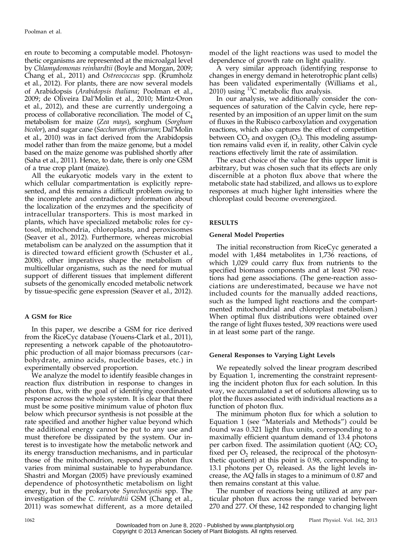en route to becoming a computable model. Photosynthetic organisms are represented at the microalgal level by Chlamydomonas reinhardtii (Boyle and Morgan, 2009; Chang et al., 2011) and Ostreococcus spp. (Krumholz et al., 2012). For plants, there are now several models of Arabidopsis (Arabidopsis thaliana; Poolman et al., 2009; de Oliveira Dal'Molin et al., 2010; Mintz-Oron et al., 2012), and these are currently undergoing a process of collaborative reconciliation. The model of  $C_4$ metabolism for maize (Zea mays), sorghum (Sorghum bicolor), and sugar cane (Saccharum officinarum; Dal'Molin et al., 2010) was in fact derived from the Arabidopsis model rather than from the maize genome, but a model based on the maize genome was published shortly after (Saha et al., 2011). Hence, to date, there is only one GSM of a true crop plant (maize).

All the eukaryotic models vary in the extent to which cellular compartmentation is explicitly represented, and this remains a difficult problem owing to the incomplete and contradictory information about the localization of the enzymes and the specificity of intracellular transporters. This is most marked in plants, which have specialized metabolic roles for cytosol, mitochondria, chloroplasts, and peroxisomes (Seaver et al., 2012). Furthermore, whereas microbial metabolism can be analyzed on the assumption that it is directed toward efficient growth (Schuster et al., 2008), other imperatives shape the metabolism of multicellular organisms, such as the need for mutual support of different tissues that implement different subsets of the genomically encoded metabolic network by tissue-specific gene expression (Seaver et al., 2012).

# A GSM for Rice

In this paper, we describe a GSM for rice derived from the RiceCyc database (Youens-Clark et al., 2011), representing a network capable of the photoautotrophic production of all major biomass precursors (carbohydrate, amino acids, nucleotide bases, etc.) in experimentally observed proportion.

We analyze the model to identify feasible changes in reaction flux distribution in response to changes in photon flux, with the goal of identifying coordinated response across the whole system. It is clear that there must be some positive minimum value of photon flux below which precursor synthesis is not possible at the rate specified and another higher value beyond which the additional energy cannot be put to any use and must therefore be dissipated by the system. Our interest is to investigate how the metabolic network and its energy transduction mechanisms, and in particular those of the mitochondrion, respond as photon flux varies from minimal sustainable to hyperabundance. Shastri and Morgan (2005) have previously examined dependence of photosynthetic metabolism on light energy, but in the prokaryote Synechocystis spp. The investigation of the C. reinhardtii GSM (Chang et al., 2011) was somewhat different, as a more detailed

model of the light reactions was used to model the dependence of growth rate on light quality.

A very similar approach (identifying response to changes in energy demand in heterotrophic plant cells) has been validated experimentally (Williams et al., 2010) using  $^{13}$ C metabolic flux analysis.

In our analysis, we additionally consider the consequences of saturation of the Calvin cycle, here represented by an imposition of an upper limit on the sum of fluxes in the Rubisco carboxylation and oxygenation reactions, which also captures the effect of competition between  $CO<sub>2</sub>$  and oxygen  $(O<sub>2</sub>)$ . This modeling assumption remains valid even if, in reality, other Calvin cycle reactions effectively limit the rate of assimilation.

The exact choice of the value for this upper limit is arbitrary, but was chosen such that its effects are only discernible at a photon flux above that where the metabolic state had stabilized, and allows us to explore responses at much higher light intensities where the chloroplast could become overenergized.

# RESULTS

# General Model Properties

The initial reconstruction from RiceCyc generated a model with 1,484 metabolites in 1,736 reactions, of which 1,029 could carry flux from nutrients to the specified biomass components and at least 790 reactions had gene associations. (The gene-reaction associations are underestimated, because we have not included counts for the manually added reactions, such as the lumped light reactions and the compartmented mitochondrial and chloroplast metabolism.) When optimal flux distributions were obtained over the range of light fluxes tested, 309 reactions were used in at least some part of the range.

# General Responses to Varying Light Levels

We repeatedly solved the linear program described by Equation 1, incrementing the constraint representing the incident photon flux for each solution. In this way, we accumulated a set of solutions allowing us to plot the fluxes associated with individual reactions as a function of photon flux.

The minimum photon flux for which a solution to Equation 1 (see "Materials and Methods") could be found was 0.321 light flux units, corresponding to a maximally efficient quantum demand of 13.4 photons per carbon fixed. The assimilation quotient  $(AQ; CO<sub>2</sub>)$ fixed per  $O<sub>2</sub>$  released, the reciprocal of the photosynthetic quotient) at this point is 0.98, corresponding to 13.1 photons per  $O_2$  released. As the light levels increase, the AQ falls in stages to a minimum of 0.87 and then remains constant at this value.

The number of reactions being utilized at any particular photon flux across the range varied between 270 and 277. Of these, 142 responded to changing light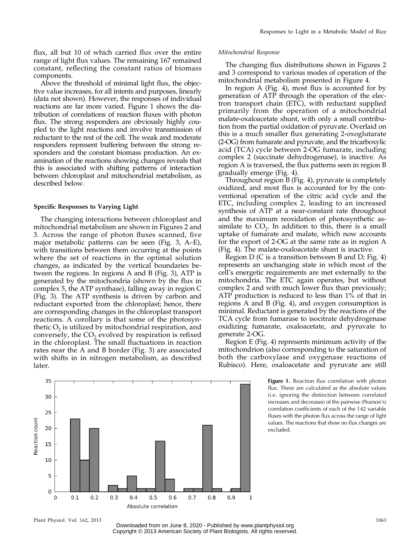flux, all but 10 of which carried flux over the entire range of light flux values. The remaining 167 remained constant, reflecting the constant ratios of biomass components.

Above the threshold of minimal light flux, the objective value increases, for all intents and purposes, linearly (data not shown). However, the responses of individual reactions are far more varied. Figure 1 shows the distribution of correlations of reaction fluxes with photon flux. The strong responders are obviously highly coupled to the light reactions and involve transmission of reductant to the rest of the cell. The weak and moderate responders represent buffering between the strong responders and the constant biomass production. An examination of the reactions showing changes reveals that this is associated with shifting patterns of interaction between chloroplast and mitochondrial metabolism, as described below.

## Specific Responses to Varying Light

The changing interactions between chloroplast and mitochondrial metabolism are shown in Figures 2 and 3. Across the range of photon fluxes scanned, five major metabolic patterns can be seen (Fig. 3, A–E), with transitions between them occurring at the points where the set of reactions in the optimal solution changes, as indicated by the vertical boundaries between the regions. In regions A and B (Fig. 3), ATP is generated by the mitochondria (shown by the flux in complex 5, the ATP synthase), falling away in region C (Fig. 3). The ATP synthesis is driven by carbon and reductant exported from the chloroplast; hence, there are corresponding changes in the chloroplast transport reactions. A corollary is that some of the photosynthetic  $O<sub>2</sub>$  is utilized by mitochondrial respiration, and conversely, the  $CO<sub>2</sub>$  evolved by respiration is refixed in the chloroplast. The small fluctuations in reaction rates near the A and B border (Fig. 3) are associated with shifts in in nitrogen metabolism, as described later.



## Mitochondrial Response

The changing flux distributions shown in Figures 2 and 3 correspond to various modes of operation of the mitochondrial metabolism presented in Figure 4.

In region A (Fig. 4), most flux is accounted for by generation of ATP through the operation of the electron transport chain (ETC), with reductant supplied primarily from the operation of a mitochondrial malate-oxaloacetate shunt, with only a small contribution from the partial oxidation of pyruvate. Overlaid on this is a much smaller flux generating 2-oxoglutarate (2-OG) from fumarate and pyruvate, and the tricarboxylic acid (TCA) cycle between 2-OG fumarate, including complex 2 (succinate dehydrogenase), is inactive. As region A is traversed, the flux patterns seen in region B gradually emerge (Fig. 4).

Throughout region B (Fig. 4), pyruvate is completely oxidized, and most flux is accounted for by the conventional operation of the citric acid cycle and the ETC, including complex 2, leading to an increased synthesis of ATP at a near-constant rate throughout and the maximum reoxidation of photosynthetic assimilate to  $CO<sub>2</sub>$ . In addition to this, there is a small uptake of fumarate and malate, which now accounts for the export of 2-OG at the same rate as in region A (Fig. 4). The malate-oxaloacetate shunt is inactive.

Region D (C is a transition between B and D; Fig. 4) represents an unchanging state in which most of the cell's energetic requirements are met externally to the mitochondria. The ETC again operates, but without complex 2 and with much lower flux than previously; ATP production is reduced to less than 1% of that in regions A and B (Fig. 4), and oxygen consumption is minimal. Reductant is generated by the reactions of the TCA cycle from fumarase to isocitrate dehydrogenase oxidizing fumarate, oxaloacetate, and pyruvate to generate 2-OG.

Region E (Fig. 4) represents minimum activity of the mitochondrion (also corresponding to the saturation of both the carboxylase and oxygenase reactions of Rubisco). Here, oxaloacetate and pyruvate are still

> Figure 1. Reaction flux correlation with photon flux. These are calculated as the absolute values (i.e. ignoring the distinction between correlated increases and decreases) of the pairwise (Pearson's) correlation coefficients of each of the 142 variable fluxes with the photon flux across the range of light values. The reactions that show no flux changes are excluded.

Plant Physiol. Vol. 162, 2013 1063

Downloaded from on June 8, 2020 - Published by [www.plantphysiol.org](http://www.plantphysiol.org) Copyright © 2013 American Society of Plant Biologists. All rights reserved.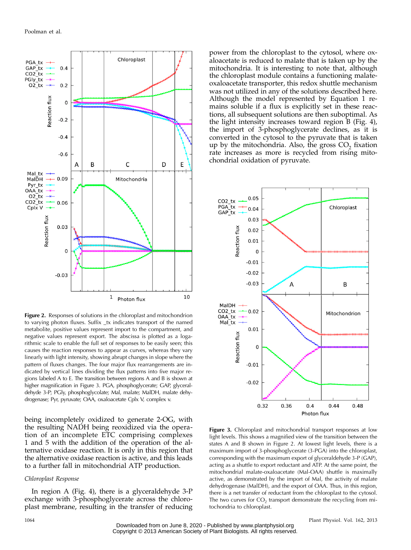

Figure 2. Responses of solutions in the chloroplast and mitochondrion to varying photon fluxes. Suffix \_tx indicates transport of the named metabolite, positive values represent import to the compartment, and negative values represent export. The abscissa is plotted as a logarithmic scale to enable the full set of responses to be easily seen; this causes the reaction responses to appear as curves, whereas they vary linearly with light intensity, showing abrupt changes in slope where the pattern of fluxes changes. The four major flux rearrangements are indicated by vertical lines dividing the flux patterns into five major regions labeled A to E. The transition between regions A and B is shown at higher magnification in Figure 3. PGA, phosphoglycerate; GAP, glyceraldehyde 3-P; PGly, phosphoglycolate; Mal, malate; MalDH, malate dehydrogenase; Pyr, pyruvate; OAA, oxaloacetate Cplx V, complex v.

being incompletely oxidized to generate 2-OG, with the resulting NADH being reoxidized via the operation of an incomplete ETC comprising complexes 1 and 5 with the addition of the operation of the alternative oxidase reaction. It is only in this region that the alternative oxidase reaction is active, and this leads to a further fall in mitochondrial ATP production.

## Chloroplast Response

In region A (Fig. 4), there is a glyceraldehyde 3-P exchange with 3-phosphoglycerate across the chloroplast membrane, resulting in the transfer of reducing power from the chloroplast to the cytosol, where oxaloacetate is reduced to malate that is taken up by the mitochondria. It is interesting to note that, although the chloroplast module contains a functioning malateoxaloacetate transporter, this redox shuttle mechanism was not utilized in any of the solutions described here. Although the model represented by Equation 1 remains soluble if a flux is explicitly set in these reactions, all subsequent solutions are then suboptimal. As the light intensity increases toward region B (Fig. 4), the import of 3-phosphoglycerate declines, as it is converted in the cytosol to the pyruvate that is taken up by the mitochondria. Also, the gross  $CO<sub>2</sub>$  fixation rate increases as more is recycled from rising mitochondrial oxidation of pyruvate.



Figure 3. Chloroplast and mitochondrial transport responses at low light levels. This shows a magnified view of the transition between the states A and B shown in Figure 2. At lowest light levels, there is a maximum import of 3-phosphoglycerate (3-PGA) into the chloroplast, corresponding with the maximum export of glyceraldehyde 3-P (GAP), acting as a shuttle to export reductant and ATP. At the same point, the mitochondrial malate-oxaloacetate (Mal-OAA) shuttle is maximally active, as demonstrated by the import of Mal, the activity of malate dehydrogenase (MalDH), and the export of OAA. Thus, in this region, there is a net transfer of reductant from the chloroplast to the cytosol. The two curves for  $CO<sub>2</sub>$  transport demonstrate the recycling from mitochondria to chloroplast.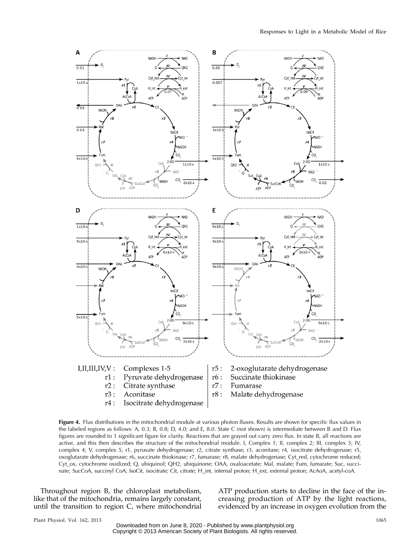

Figure 4. Flux distributions in the mitochondrial module at various photon fluxes. Results are shown for specific flux values in the labeled regions as follows: A, 0.3; B, 0.8; D, 4.0; and E, 8.0. State C (not shown) is intermediate between B and D. Flux figures are rounded to 1 significant figure for clarity. Reactions that are grayed out carry zero flux. In state B, all reactions are active, and this then describes the structure of the mitochondrial module. I, Complex 1; II, complex 2; III, complex 3; IV, complex 4; V, complex 5; r1, pyruvate dehydrogenase; r2, citrate synthase; r3, aconitase; r4, isocitrate dehydrogenase; r5, oxoglutarate dehydrogenase; r6, succinate thiokinase; r7, fumarase; r8, malate dehydrogenase; Cyt\_red, cytochrome reduced; Cyt\_ox, cytochrome oxidized; Q, ubiquinol; QH2, ubiquinone; OAA, oxaloacetate; Mal, malate; Fum, fumarate; Suc, succinate; SucCoA, succinyl CoA; IsoCit, isocitrate; Cit, citrate; H\_int, internal proton; H\_ext, external proton; AcAoA, acetyl-coA.

Throughout region B, the chloroplast metabolism, like that of the mitochondria, remains largely constant, until the transition to region C, where mitochondrial ATP production starts to decline in the face of the increasing production of ATP by the light reactions, evidenced by an increase in oxygen evolution from the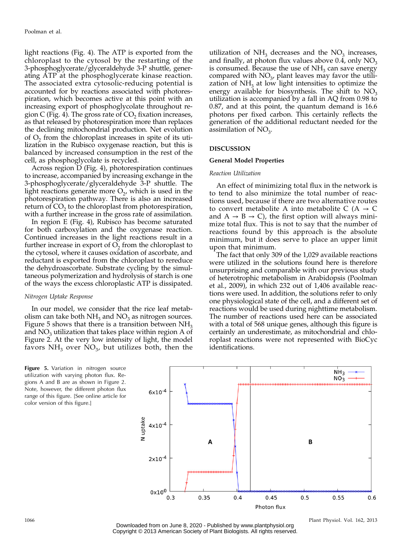light reactions (Fig. 4). The ATP is exported from the chloroplast to the cytosol by the restarting of the 3-phosphoglycerate/glyceraldehyde 3-P shuttle, generating ATP at the phosphoglycerate kinase reaction. The associated extra cytosolic-reducing potential is accounted for by reactions associated with photorespiration, which becomes active at this point with an increasing export of phosphoglycolate throughout region C (Fig. 4). The gross rate of  $CO<sub>2</sub>$  fixation increases, as that released by photorespiration more than replaces the declining mitochondrial production. Net evolution of  $O<sub>2</sub>$  from the chloroplast increases in spite of its utilization in the Rubisco oxygenase reaction, but this is balanced by increased consumption in the rest of the cell, as phosphoglycolate is recycled.

Across region D (Fig. 4), photorespiration continues to increase, accompanied by increasing exchange in the 3-phosphoglycerate/glyceraldehyde 3-P shuttle. The light reactions generate more  $O<sub>2</sub>$ , which is used in the photorespiration pathway. There is also an increased return of  $CO<sub>2</sub>$  to the chloroplast from photorespiration, with a further increase in the gross rate of assimilation.

In region E (Fig. 4), Rubisco has become saturated for both carboxylation and the oxygenase reaction. Continued increases in the light reactions result in a further increase in export of  $O<sub>2</sub>$  from the chloroplast to the cytosol, where it causes oxidation of ascorbate, and reductant is exported from the chloroplast to rereduce the dehydroascorbate. Substrate cycling by the simultaneous polymerization and hydrolysis of starch is one of the ways the excess chloroplastic ATP is dissipated.

## Nitrogen Uptake Response

In our model, we consider that the rice leaf metabolism can take both  $NH<sub>3</sub>$  and  $NO<sub>3</sub>$  as nitrogen sources. Figure 5 shows that there is a transition between  $NH<sub>3</sub>$ and  $NO<sub>3</sub>$  utilization that takes place within region A of Figure 2. At the very low intensity of light, the model favors NH<sub>3</sub> over NO<sub>3</sub>, but utilizes both, then the



utilization of  $NH<sub>3</sub>$  decreases and the  $NO<sub>3</sub>$  increases, and finally, at photon flux values above 0.4, only  $NO<sub>3</sub>$ is consumed. Because the use of  $NH<sub>3</sub>$  can save energy compared with  $NO<sub>3</sub>$ , plant leaves may favor the utilization of  $NH<sub>3</sub>$  at low light intensities to optimize the energy available for biosynthesis. The shift to  $NO<sub>3</sub>$ utilization is accompanied by a fall in AQ from 0.98 to 0.87, and at this point, the quantum demand is 16.6 photons per fixed carbon. This certainly reflects the generation of the additional reductant needed for the assimilation of  $NO<sub>3</sub>$ .

# **DISCUSSION**

#### General Model Properties

## Reaction Utilization

An effect of minimizing total flux in the network is to tend to also minimize the total number of reactions used, because if there are two alternative routes to convert metabolite A into metabolite C (A  $\rightarrow$  C and  $A \rightarrow B \rightarrow C$ ), the first option will always minimize total flux. This is not to say that the number of reactions found by this approach is the absolute minimum, but it does serve to place an upper limit upon that minimum.

The fact that only 309 of the 1,029 available reactions were utilized in the solutions found here is therefore unsurprising and comparable with our previous study of heterotrophic metabolism in Arabidopsis (Poolman et al., 2009), in which 232 out of 1,406 available reactions were used. In addition, the solutions refer to only one physiological state of the cell, and a different set of reactions would be used during nighttime metabolism. The number of reactions used here can be associated with a total of 568 unique genes, although this figure is certainly an underestimate, as mitochondrial and chloroplast reactions were not represented with BioCyc identifications.



Downloaded from on June 8, 2020 - Published by [www.plantphysiol.org](http://www.plantphysiol.org) Copyright © 2013 American Society of Plant Biologists. All rights reserved.

1066 Plant Physiol. Vol. 162, 2013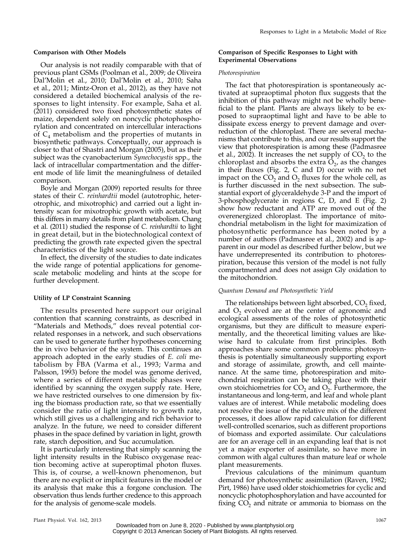## Comparison with Other Models

Our analysis is not readily comparable with that of previous plant GSMs (Poolman et al., 2009; de Oliveira Dal'Molin et al., 2010; Dal'Molin et al., 2010; Saha et al., 2011; Mintz-Oron et al., 2012), as they have not considered a detailed biochemical analysis of the responses to light intensity. For example, Saha et al. (2011) considered two fixed photosynthetic states of maize, dependent solely on noncyclic photophosphorylation and concentrated on intercellular interactions of  $C_4$  metabolism and the properties of mutants in biosynthetic pathways. Conceptually, our approach is closer to that of Shastri and Morgan (2005), but as their subject was the cyanobacterium Synechocystis spp., the lack of intracellular compartmentation and the different mode of life limit the meaningfulness of detailed comparison.

Boyle and Morgan (2009) reported results for three states of their C. reinhardtii model (autotrophic, heterotrophic, and mixotrophic) and carried out a light intensity scan for mixotrophic growth with acetate, but this differs in many details from plant metabolism. Chang et al. (2011) studied the response of C. reinhardtii to light in great detail, but in the biotechnological context of predicting the growth rate expected given the spectral characteristics of the light source.

In effect, the diversity of the studies to date indicates the wide range of potential applications for genomescale metabolic modeling and hints at the scope for further development.

# Utility of LP Constraint Scanning

The results presented here support our original contention that scanning constraints, as described in "Materials and Methods," does reveal potential correlated responses in a network, and such observations can be used to generate further hypotheses concerning the in vivo behavior of the system. This continues an approach adopted in the early studies of E. coli metabolism by FBA (Varma et al., 1993; Varma and Palsson, 1993) before the model was genome derived, where a series of different metabolic phases were identified by scanning the oxygen supply rate. Here, we have restricted ourselves to one dimension by fixing the biomass production rate, so that we essentially consider the ratio of light intensity to growth rate, which still gives us a challenging and rich behavior to analyze. In the future, we need to consider different phases in the space defined by variation in light, growth rate, starch deposition, and Suc accumulation.

It is particularly interesting that simply scanning the light intensity results in the Rubisco oxygenase reaction becoming active at superoptimal photon fluxes. This is, of course, a well-known phenomenon, but there are no explicit or implicit features in the model or its analysis that make this a forgone conclusion. The observation thus lends further credence to this approach for the analysis of genome-scale models.

# Comparison of Specific Responses to Light with Experimental Observations

#### Photorespiration

The fact that photorespiration is spontaneously activated at supraoptimal photon flux suggests that the inhibition of this pathway might not be wholly beneficial to the plant. Plants are always likely to be exposed to supraoptimal light and have to be able to dissipate excess energy to prevent damage and overreduction of the chloroplast. There are several mechanisms that contribute to this, and our results support the view that photorespiration is among these (Padmasree et al., 2002). It increases the net supply of  $CO<sub>2</sub>$  to the chloroplast and absorbs the extra  $O<sub>2</sub>$ , as the changes in their fluxes (Fig. 2, C and D) occur with no net impact on the  $CO<sub>2</sub>$  and  $O<sub>2</sub>$  fluxes for the whole cell, as is further discussed in the next subsection. The substantial export of glyceraldehyde 3-P and the import of 3-phosphoglycerate in regions C, D, and E (Fig. 2) show how reductant and ATP are moved out of the overenergized chloroplast. The importance of mitochondrial metabolism in the light for maximization of photosynthetic performance has been noted by a number of authors (Padmasree et al., 2002) and is apparent in our model as described further below, but we have underrepresented its contribution to photorespiration, because this version of the model is not fully compartmented and does not assign Gly oxidation to the mitochondrion.

# Quantum Demand and Photosynthetic Yield

The relationships between light absorbed,  $CO<sub>2</sub>$  fixed, and  $O<sub>2</sub>$  evolved are at the center of agronomic and ecological assessments of the roles of photosynthetic organisms, but they are difficult to measure experimentally, and the theoretical limiting values are likewise hard to calculate from first principles. Both approaches share some common problems: photosynthesis is potentially simultaneously supporting export and storage of assimilate, growth, and cell maintenance. At the same time, photorespiration and mitochondrial respiration can be taking place with their own stoichiometries for  $CO<sub>2</sub>$  and  $O<sub>2</sub>$ . Furthermore, the instantaneous and long-term, and leaf and whole plant values are of interest. While metabolic modeling does not resolve the issue of the relative mix of the different processes, it does allow rapid calculation for different well-controlled scenarios, such as different proportions of biomass and exported assimilate. Our calculations are for an average cell in an expanding leaf that is not yet a major exporter of assimilate, so have more in common with algal cultures than mature leaf or whole plant measurements.

Previous calculations of the minimum quantum demand for photosynthetic assimilation (Raven, 1982; Pirt, 1986) have used older stoichiometries for cyclic and noncyclic photophosphorylation and have accounted for fixing  $CO<sub>2</sub>$  and nitrate or ammonia to biomass on the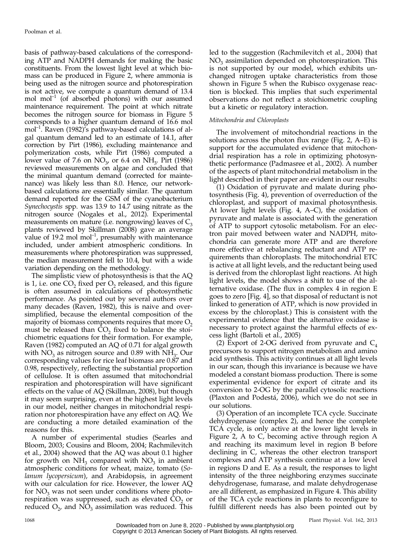basis of pathway-based calculations of the corresponding ATP and NADPH demands for making the basic constituents. From the lowest light level at which biomass can be produced in Figure 2, where ammonia is being used as the nitrogen source and photorespiration is not active, we compute a quantum demand of 13.4 mol mol–<sup>1</sup> (of absorbed photons) with our assumed maintenance requirement. The point at which nitrate becomes the nitrogen source for biomass in Figure 5 corresponds to a higher quantum demand of 16.6 mol mol–<sup>1</sup> . Raven (1982)'s pathway-based calculations of algal quantum demand led to an estimate of 14.1, after correction by Pirt (1986), excluding maintenance and polymerization costs, while Pirt (1986) computed a lower value of 7.6 on  $NO_3$ , or 6.4 on  $NH_3$ . Pirt (1986) reviewed measurements on algae and concluded that the minimal quantum demand (corrected for maintenance) was likely less than 8.0. Hence, our networkbased calculations are essentially similar. The quantum demand reported for the GSM of the cyanobacterium Synechocystis spp. was 13.9 to 14.7 using nitrate as the nitrogen source (Nogales et al., 2012). Experimental measurements on mature (i.e. nongrowing) leaves of  $C_3$ plants reviewed by Skillman (2008) gave an average value of 19.2 mol  $\text{mol}^{-1}$ , presumably with maintenance included, under ambient atmospheric conditions. In measurements where photorespiration was suppressed, the median measurement fell to 10.4, but with a wide variation depending on the methodology.

The simplistic view of photosynthesis is that the AQ is 1, i.e. one  $CO<sub>2</sub>$  fixed per  $O<sub>2</sub>$  released, and this figure is often assumed in calculations of photosynthetic performance. As pointed out by several authors over many decades (Raven, 1982), this is naive and oversimplified, because the elemental composition of the majority of biomass components requires that more  $O<sub>2</sub>$ must be released than  $CO<sub>2</sub>$  fixed to balance the stoichiometric equations for their formation. For example, Raven (1982) computed an AQ of 0.71 for algal growth with  $NO<sub>3</sub>$  as nitrogen source and 0.89 with  $NH<sub>3</sub>$ . Our corresponding values for rice leaf biomass are 0.87 and 0.98, respectively, reflecting the substantial proportion of cellulose. It is often assumed that mitochondrial respiration and photorespiration will have significant effects on the value of AQ (Skillman, 2008), but though it may seem surprising, even at the highest light levels in our model, neither changes in mitochondrial respiration nor photorespiration have any effect on AQ. We are conducting a more detailed examination of the reasons for this.

A number of experimental studies (Searles and Bloom, 2003; Cousins and Bloom, 2004; Rachmilevitch et al., 2004) showed that the AQ was about 0.1 higher for growth on  $NH<sub>3</sub>$  compared with  $NO<sub>3</sub>$  in ambient atmospheric conditions for wheat, maize, tomato (Solanum lycopersicum), and Arabidopsis, in agreement with our calculation for rice. However, the lower AQ for  $NO<sub>3</sub>$  was not seen under conditions where photorespiration was suppressed, such as elevated  $CO<sub>2</sub>$  or reduced  $O_2$ , and  $NO_3$  assimilation was reduced. This led to the suggestion (Rachmilevitch et al., 2004) that  $NO<sub>3</sub>$  assimilation depended on photorespiration. This is not supported by our model, which exhibits unchanged nitrogen uptake characteristics from those shown in Figure 5 when the Rubisco oxygenase reaction is blocked. This implies that such experimental observations do not reflect a stoichiometric coupling but a kinetic or regulatory interaction.

# Mitochondria and Chloroplasts

The involvement of mitochondrial reactions in the solutions across the photon flux range (Fig. 2, A–E) is support for the accumulated evidence that mitochondrial respiration has a role in optimizing photosynthetic performance (Padmasree et al., 2002). A number of the aspects of plant mitochondrial metabolism in the light described in their paper are evident in our results:

(1) Oxidation of pyruvate and malate during photosynthesis (Fig. 4), prevention of overreduction of the chloroplast, and support of maximal photosynthesis. At lower light levels (Fig. 4, A–C), the oxidation of pyruvate and malate is associated with the generation of ATP to support cytosolic metabolism. For an electron pair moved between water and NADPH, mitochondria can generate more ATP and are therefore more effective at rebalancing reductant and ATP requirements than chloroplasts. The mitochondrial ETC is active at all light levels, and the reductant being used is derived from the chloroplast light reactions. At high light levels, the model shows a shift to use of the alternative oxidase. (The flux in complex 4 in region E goes to zero [Fig. 4], so that disposal of reductant is not linked to generation of ATP, which is now provided in excess by the chloroplast.) This is consistent with the experimental evidence that the alternative oxidase is necessary to protect against the harmful effects of excess light (Bartoli et al., 2005)

(2) Export of 2-OG derived from pyruvate and  $C_4$ precursors to support nitrogen metabolism and amino acid synthesis. This activity continues at all light levels in our scan, though this invariance is because we have modeled a constant biomass production. There is some experimental evidence for export of citrate and its conversion to 2-OG by the parallel cytosolic reactions (Plaxton and Podestá, 2006), which we do not see in our solutions.

(3) Operation of an incomplete TCA cycle. Succinate dehydrogenase (complex 2), and hence the complete TCA cycle, is only active at the lower light levels in Figure 2, A to C, becoming active through region A and reaching its maximum level in region B before declining in C, whereas the other electron transport complexes and ATP synthesis continue at a low level in regions D and E. As a result, the responses to light intensity of the three neighboring enzymes succinate dehydrogenase, fumarase, and malate dehydrogenase are all different, as emphasized in Figure 4. This ability of the TCA cycle reactions in plants to reconfigure to fulfill different needs has also been pointed out by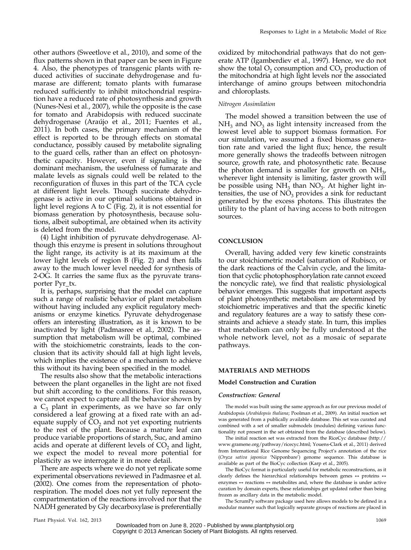other authors (Sweetlove et al., 2010), and some of the flux patterns shown in that paper can be seen in Figure 4. Also, the phenotypes of transgenic plants with reduced activities of succinate dehydrogenase and fumarase are different; tomato plants with fumarase reduced sufficiently to inhibit mitochondrial respiration have a reduced rate of photosynthesis and growth (Nunes-Nesi et al., 2007), while the opposite is the case for tomato and Arabidopsis with reduced succinate dehydrogenase (Araújo et al., 2011; Fuentes et al., 2011). In both cases, the primary mechanism of the effect is reported to be through effects on stomatal conductance, possibly caused by metabolite signaling to the guard cells, rather than an effect on photosynthetic capacity. However, even if signaling is the dominant mechanism, the usefulness of fumarate and malate levels as signals could well be related to the reconfiguration of fluxes in this part of the TCA cycle at different light levels. Though succinate dehydrogenase is active in our optimal solutions obtained in light level regions A to C (Fig. 2), it is not essential for biomass generation by photosynthesis, because solutions, albeit suboptimal, are obtained when its activity is deleted from the model.

(4) Light inhibition of pyruvate dehydrogenase. Although this enzyme is present in solutions throughout the light range, its activity is at its maximum at the lower light levels of region B (Fig. 2) and then falls away to the much lower level needed for synthesis of 2-OG. It carries the same flux as the pyruvate transporter Pyr\_tx.

It is, perhaps, surprising that the model can capture such a range of realistic behavior of plant metabolism without having included any explicit regulatory mechanisms or enzyme kinetics. Pyruvate dehydrogenase offers an interesting illustration, as it is known to be inactivated by light (Padmasree et al., 2002). The assumption that metabolism will be optimal, combined with the stoichiometric constraints, leads to the conclusion that its activity should fall at high light levels, which implies the existence of a mechanism to achieve this without its having been specified in the model.

The results also show that the metabolic interactions between the plant organelles in the light are not fixed but shift according to the conditions. For this reason, we cannot expect to capture all the behavior shown by a  $C_3$  plant in experiments, as we have so far only considered a leaf growing at a fixed rate with an adequate supply of  $CO<sub>2</sub>$  and not yet exporting nutrients to the rest of the plant. Because a mature leaf can produce variable proportions of starch, Suc, and amino acids and operate at different levels of  $CO<sub>2</sub>$  and light, we expect the model to reveal more potential for plasticity as we interrogate it in more detail.

There are aspects where we do not yet replicate some experimental observations reviewed in Padmasree et al. (2002). One comes from the representation of photorespiration. The model does not yet fully represent the compartmentation of the reactions involved nor that the NADH generated by Gly decarboxylase is preferentially

oxidized by mitochondrial pathways that do not generate ATP (Igamberdiev et al., 1997). Hence, we do not show the total  $O_2$  consumption and  $CO_2$  production of the mitochondria at high light levels nor the associated interchange of amino groups between mitochondria and chloroplasts.

# Nitrogen Assimilation

The model showed a transition between the use of  $NH<sub>3</sub>$  and  $NO<sub>3</sub>$  as light intensity increased from the lowest level able to support biomass formation. For our simulation, we assumed a fixed biomass generation rate and varied the light flux; hence, the result more generally shows the tradeoffs between nitrogen source, growth rate, and photosynthetic rate. Because the photon demand is smaller for growth on  $NH_{3}$ , wherever light intensity is limiting, faster growth will be possible using  $NH<sub>3</sub>$  than  $NO<sub>3</sub>$ . At higher light intensities, the use of  $NO<sub>3</sub>$  provides a sink for reductant generated by the excess photons. This illustrates the utility to the plant of having access to both nitrogen sources.

# **CONCLUSION**

Overall, having added very few kinetic constraints to our stoichiometric model (saturation of Rubisco, or the dark reactions of the Calvin cycle, and the limitation that cyclic photophosphorylation rate cannot exceed the noncyclic rate), we find that realistic physiological behavior emerges. This suggests that important aspects of plant photosynthetic metabolism are determined by stoichiometric imperatives and that the specific kinetic and regulatory features are a way to satisfy these constraints and achieve a steady state. In turn, this implies that metabolism can only be fully understood at the whole network level, not as a mosaic of separate pathways.

# MATERIALS AND METHODS

#### Model Construction and Curation

#### Construction: General

The model was built using the same approach as for our previous model of Arabidopsis (Arabidopsis thaliana; Poolman et al., 2009). An initial reaction set was generated from a publically available database. This set was curated and combined with a set of smaller submodels (modules) defining various functionality not present in the set obtained from the database (described below).

The initial reaction set was extracted from the RiceCyc database (http:// [www.gramene.org/pathway/ricecyc.html](http://www.gramene.org/pathway/ricecyc.html); Youens-Clark et al., 2011) derived from International Rice Genome Sequencing Project's annotation of the rice (Oryza sativa japonica 'Nipponbare') genome sequence. This database is available as part of the BioCyc collection (Karp et al., 2005).

The BioCyc format is particularly useful for metabolic reconstructions, as it clearly defines the hierarchical relationships between genes  $\leftrightarrow$  proteins  $\leftrightarrow$ enzymes  $\leftrightarrow$  reactions  $\leftrightarrow$  metabolites and, where the database is under active curation by domain experts, these relationships get updated rather than being frozen as ancillary data in the metabolic model.

The ScrumPy software package used here allows models to be defined in a modular manner such that logically separate groups of reactions are placed in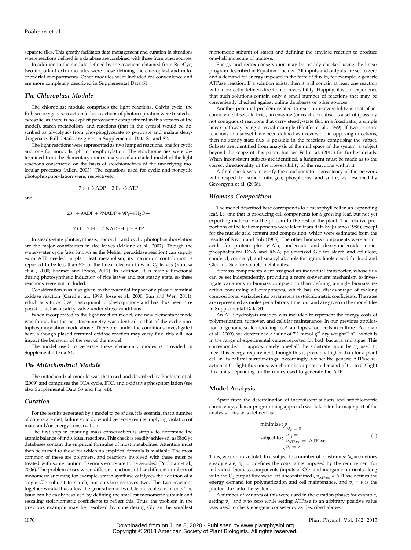separate files. This greatly facilitates data management and curation in situations where reactions defined in a database are combined with those from other sources.

In addition to the module defined by the reactions obtained from RiceCyc, two important extra modules were those defining the chloroplast and mitochondrial compartments. Other modules were included for convenience and are more completely described in [Supplemental Data S1.](http://www.plantphysiol.org/cgi/content/full/pp.113.216762/DC1)

#### The Chloroplast Module

The chloroplast module comprises the light reactions, Calvin cycle, the Rubisco oxygenase reaction (other reactions of photorespiration were treated as cytosolic, as there is no explicit peroxisome compartment in this version of the model), starch metabolism, and reactions (that in the cytosol would be described as glycolytic) from phosphoglycerate to pyruvate and malate dehydrogenase. Full details are given in [Supplemental Data S1 and S2.](http://www.plantphysiol.org/cgi/content/full/pp.113.216762/DC1)

The light reactions were represented as two lumped reactions, one for cyclic and one for noncyclic photophosphorylation. The stoichiometries were determined from the elementary modes analysis of a detailed model of the light reactions constructed on the basis of stoichiometries of the underlying molecular processes (Allen, 2003). The equations used for cyclic and noncyclic photophosphorylation were, respectively,

$$
7 \nu + 3 \text{ ADP} + 3 \text{ P}_i \rightarrow 3 \text{ ATP}
$$

and

$$
28\nu + 9ADP + 7NADP + 9P_i + 9H_2O \rightarrow
$$

$$
7\,\mathrm{O} + 7\,\mathrm{H}^+ + 7\,\mathrm{NADPH} + 9\,\mathrm{ATP}
$$

In steady-state photosynthesis, noncyclic and cyclic photophosphorylation are the major contributors in rice leaves (Makino et al., 2002). Though the water-water cycle (also known as the Mehler peroxidase reaction) can supply extra ATP needed in plant leaf metabolism, its maximum contribution is reported to be less than 5% of the linear electron flow in  $C_3$  leaves (Ruuska et al., 2000; Kramer and Evans, 2011). In addition, it is mainly functional during photosynthetic induction of rice leaves and not steady state, so these reactions were not included.

Consideration was also given to the potential impact of a plastid terminal oxidase reaction (Carol et al., 1999; Josse et al., 2000; Sun and Wen, 2011), which acts to oxidize plastoquinol to plastoquinone and has thus been proposed to act as a safety valve under stress conditions.

When incorporated in the light reaction model, one new elementary mode was found, but the net stoichiometry was identical to that of the cyclic photophosphorylation mode above. Therefore, under the conditions investigated here, although plastid terminal oxidase reaction may carry flux, this will not impact the behavior of the rest of the model.

The model used to generate these elementary modes is provided in [Supplemental Data S4.](http://www.plantphysiol.org/cgi/content/full/pp.113.216762/DC1)

#### The Mitochondrial Module

The mitochondrial module was that used and described by Poolman et al. (2009) and comprises the TCA cycle, ETC, and oxidative phosphorylation (see also [Supplemental Data S3](http://www.plantphysiol.org/cgi/content/full/pp.113.216762/DC1) and Fig. 4B).

## Curation

For the results generated by a model to be of use, it is essential that a number of criteria are met; failure so to do would generate results implying violation of mass and/or energy conservation.

The first step in ensuring mass conservation is simply to determine the atomic balance of individual reactions. This check is readily achieved, as BioCyc databases contain the empirical formulae of most metabolites. Attention must then be turned to those for which no empirical formula is available. The most common of these are polymers, and reactions involved with these must be treated with some caution if serious errors are to be avoided (Poolman et al., 2006). The problem arises when different reactions utilize different numbers of monomeric subunits; for example, starch synthase catalyzes the addition of a single Glc subunit to starch, but amylase removes two. The two reactions together would thus allow the generation of two Glc molecules from one. The issue can be easily resolved by defining the smallest monomeric subunit and rescaling stoichiometric coefficients to reflect this. Thus, the problem in the previous example may be resolved by considering Glc as the smallest

monomeric subunit of starch and defining the amylase reaction to produce one-half molecule of maltose.

Energy and redox conservation may be readily checked using the linear program described in Equation 1 below. All inputs and outputs are set to zero and a demand for energy imposed in the form of flux in, for example, a generic ATPase reaction. If a solution exists, then it will contain at least one reaction with incorrectly defined direction or reversibility. Happily, it is our experience that such solutions contain only a small number of reactions that may be conveniently checked against online databases or other sources.

Another potential problem related to reaction irreversibility is that of inconsistent subsets. In brief, an enzyme (or reaction) subset is a set of (possibly not contiguous) reactions that carry steady-state flux in a fixed ratio, a simple linear pathway being a trivial example (Pfeiffer et al., 1999). If two or more reactions in a subset have been defined as irreversible in opposing directions, then no steady-state flux is possible in the reactions comprising the subset. Subsets are identified from analysis of the null space of the system, a subject beyond the scope of this paper, but see Fell et al. (2010) for further details. When inconsistent subsets are identified, a judgment must be made as to the correct directionality of the irreversibility of the reactions within it.

A final check was to verify the stoichiometric consistency of the network with respect to carbon, nitrogen, phosphorus, and sulfur, as described by Gevorgyan et al. (2008).

#### Biomass Composition

The model described here corresponds to a mesophyll cell in an expanding leaf, i.e. one that is producing cell components for a growing leaf, but not yet exporting material via the phloem to the rest of the plant. The relative proportions of the leaf components were taken from data by Juliano (1986), except for the nucleic acid content and composition, which were estimated from the results of Kwon and Soh (1985). The other biomass components were amino acids for protein plus  $\beta$ -Ala; nucleoside and deoxynucleoside monophosphates for DNA and RNA; polymerized Glc for starch and cellulose; coniferyl, coumaryl, and sinapyl alcohols for lignin; linoleic acid for lipid and Glc; and Suc for soluble metabolites.

Biomass components were assigned an individual transporter, whose flux can be set independently, providing a more convenient mechanism to investigate variations in biomass composition than defining a single biomass reaction consuming all components, which has the disadvantage of making compositional variables into parameters as stoichiometric coefficients. The rates are represented as moles per arbitrary time unit and are given in the model files in [Supplemental Data S1](http://www.plantphysiol.org/cgi/content/full/pp.113.216762/DC1).

An ATP hydrolysis reaction was included to represent the energy costs of polymerization, turnover, and cellular maintenance. In our previous application of genome-scale modeling to Arabidopsis root cells in culture (Poolman et al., 2009), we determined a value of 7.1 mmol  $\text{g}^{-1}$  dry weight $^{-1}$  h $^{-1}$ , which is in the range of experimental values reported for both bacteria and algae. This corresponded to approximately one-half the substrate input being used to meet this energy requirement, though this is probably higher than for a plant cell in its natural surroundings. Accordingly, we set the generic ATPase reaction at 0.1 light flux units, which implies a photon demand of 0.1 to 0.2 light flux units depending on the routes used to generate the ATP.

#### Model Analysis

Apart from the determination of inconsistent subsets and stoichiometric consistency, a linear programming approach was taken for the major part of the analysis. This was defined as:

minimize : 
$$
v
$$
  
\nsubject to 
$$
\begin{cases}\nN_v = 0 \\
v_{i,j} = t \\
v_{\text{ATPase}} = \text{ATPase} \\
v_v = v\n\end{cases}
$$
\n(1)

Thus, we minimize total flux, subject to a number of constraints:  $N_v = 0$  defines steady state,  $v_{i,i} = t$  defines the constraints imposed by the requirement for individual biomass components (inputs of  $CO<sub>2</sub>$  and inorganic nutrients along with the  $O_2$  output flux were left unconstrained),  $v_{ATPase}$  = ATPase defines the energy demand for polymerization and cell maintenance, and  $v_y = v$  is the photon flux into the system.

A number of variants of this were used in the curation phase; for example, setting  $v_{i,i}$  and  $\nu$  to zero while setting ATPase to an arbitrary positive value was used to check energetic consistency as described above.

1070 Plant Physiol. Vol. 162, 2013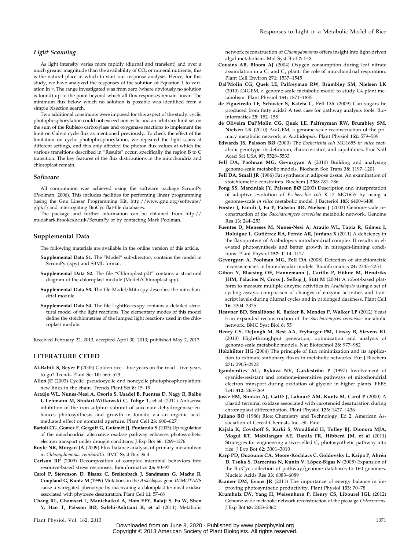## Light Scanning

As light intensity varies more rapidly (diurnal and transient) and over a much greater magnitude than the availability of  $\mathrm{CO}_2$  or mineral nutrients, this is the natural place in which to start our response analysis. Hence, for this study, we have analyzed the responses of the solution of Equation 1 to variation in  $\nu$ . The range investigated was from zero (where obviously no solution is found) up to the point beyond which all flux responses remain linear. The minimum flux below which no solution is possible was identified from a simple bisection search.

Two additional constraints were imposed for this aspect of the study: cyclic photophosphorylation could not exceed noncyclic and an arbitrary limit set on the sum of the Rubisco carboxylase and oxygenase reactions to implement the limit on Calvin cycle flux as mentioned previously. To check the effect of the limitation on cyclic photophosphorylation, we repeated the light scans at different settings, and this only affected the photon flux values at which the various transitions described in "Results" occur, specifically the region B to C transition. The key features of the flux distributions in the mitochondria and chloroplast remain.

#### Software

All computation was achieved using the software package ScrumPy (Poolman, 2006). This includes facilities for performing linear programming (using the Gnu Linear Programming Kit, [http://www.gnu.org/software/](http://www.gnu.org/software/glpk/) [glpk/\)](http://www.gnu.org/software/glpk/) and interrogating BioCyc flat-file databases.

The package and further information can be obtained from [http://](http://mudshark.brookes.ac.uk/ScrumPy) [mudshark.brookes.ac.uk/ScrumPy](http://mudshark.brookes.ac.uk/ScrumPy) or by contacting Mark Poolman.

#### Supplemental Data

The following materials are available in the online version of this article.

- [Supplemental Data S1.](http://www.plantphysiol.org/cgi/content/full/pp.113.216762/DC1) The "Model" sub-directory contains the model in ScrumPy (.spy) and SBML format.
- [Supplemental Data S2.](http://www.plantphysiol.org/cgi/content/full/pp.113.216762/DC1) The file "Chloroplast.pdf" contains a structural diagram of the chloroplast module (Model/Chloroplast.spy).
- [Supplemental Data S3.](http://www.plantphysiol.org/cgi/content/full/pp.113.216762/DC1) The file Model/Mito.spy describes the mitochondrial module.
- [Supplemental Data S4.](http://www.plantphysiol.org/cgi/content/full/pp.113.216762/DC1) The file LightReacs.spy contains a detailed structural model of the light reactions. The elementary modes of this model define the stoichiometries of the lumped light reactions used in the chloroplast module.

Received February 22, 2013; accepted April 30, 2013; published May 2, 2013.

## LITERATURE CITED

- Al-Babili S, Beyer P (2005) Golden rice—five years on the road—five years to go? Trends Plant Sci 10: 565–573
- Allen JF (2003) Cyclic, pseudocyclic and noncyclic photophosphorylation: new links in the chain. Trends Plant Sci 8: 15–19
- Araújo WL, Nunes-Nesi A, Osorio S, Usadel B, Fuentes D, Nagy R, Balbo I, Lehmann M, Studart-Witkowski C, Tohge T, et al (2011) Antisense inhibition of the iron-sulphur subunit of succinate dehydrogenase enhances photosynthesis and growth in tomato via an organic acidmediated effect on stomatal aperture. Plant Cell 23: 600–627
- Bartoli CG, Gomez F, Gergoff G, Guiamét JJ, Puntarulo S (2005) Up-regulation of the mitochondrial alternative oxidase pathway enhances photosynthetic electron transport under drought conditions. J Exp Bot 56: 1269–1276
- Boyle NR, Morgan JA (2009) Flux balance analysis of primary metabolism in Chlamydomonas reinhardtii. BMC Syst Biol 3: 4
- Carlson RP (2009) Decomposition of complex microbial behaviors into resource-based stress responses. Bioinformatics 25: 90–97
- Carol P, Stevenson D, Bisanz C, Breitenbach J, Sandmann G, Mache R, Coupland G, Kuntz M (1999) Mutations in the Arabidopsis gene IMMUTANS cause a variegated phenotype by inactivating a chloroplast terminal oxidase associated with phytoene desaturation. Plant Cell 11: 57–68

Chang RL, Ghamsari L, Manichaikul A, Hom EFY, Balaji S, Fu W, Shen Y, Hao T, Palsson BØ, Salehi-Ashtiani K, et al (2011) Metabolic network reconstruction of Chlamydomonas offers insight into light-driven algal metabolism. Mol Syst Biol 7: 518

- Cousins AB, Bloom AJ (2004) Oxygen consumption during leaf nitrate assimilation in a  $C_3$  and  $C_4$  plant: the role of mitochondrial respiration. Plant Cell Environ 271: 1537–1545
- Dal'Molin CG, Quek LE, Palfreyman RW, Brumbley SM, Nielsen LK (2010) C4GEM, a genome-scale metabolic model to study C4 plant metabolism. Plant Physiol 154: 1871–1885
- de Figueiredo LF, Schuster S, Kaleta C, Fell DA (2009) Can sugars be produced from fatty acids? A test case for pathway analysis tools. Bioinformatics 25: 152–158
- de Oliveira Dal'Molin CG, Quek LE, Palfreyman RW, Brumbley SM, Nielsen LK (2010) AraGEM, a genome-scale reconstruction of the primary metabolic network in Arabidopsis. Plant Physiol 152: 579–589
- Edwards JS, Palsson BØ (2000) The Escherichia coli MG1655 in silico metabolic genotype: its definition, characteristics, and capabilities. Proc Natl Acad Sci USA 97: 5528–5533
- Fell DA, Poolman MG, Gevorgyan A (2010) Building and analysing genome-scale metabolic models. Biochem Soc Trans 38: 1197–1201
- Fell DA, Small JR (1986) Fat synthesis in adipose tissue. An examination of stoichiometric constraints. Biochem J 238: 781-786
- Fong SS, Marciniak JY, Palsson BØ (2003) Description and interpretation of adaptive evolution of Escherichia coli K-12 MG1655 by using a genome-scale in silico metabolic model. J Bacteriol 185: 6400–6408
- Förster J, Famili I, Fu P, Palsson BØ, Nielsen J (2003) Genome-scale reconstruction of the Saccharomyces cerevisiae metabolic network. Genome Res 13: 244–253
- Fuentes D, Meneses M, Nunes-Nesi A, Araújo WL, Tapia R, Gómez I, Holuigue L, Gutiérrez RA, Fernie AR, Jordana X (2011) A deficiency in the flavoprotein of Arabidopsis mitochondrial complex II results in elevated photosynthesis and better growth in nitrogen-limiting conditions. Plant Physiol 157: 1114–1127
- Gevorgyan A, Poolman MG, Fell DA (2008) Detection of stoichiometric inconsistencies in biomolecular models. Bioinformatics 24: 2245–2251
- Gibon Y, Blaesing OE, Hannemann J, Carillo P, Höhne M, Hendriks JHM, Palacios N, Cross J, Selbig J, Stitt M (2004) A robot-based platform to measure multiple enzyme activities in Arabidopsis using a set of cycling assays: comparison of changes of enzyme activities and transcript levels during diurnal cycles and in prolonged darkness. Plant Cell 16: 3304–3325
- Heavner BD, Smallbone K, Barker B, Mendes P, Walker LP (2012) Yeast 5-an expanded reconstruction of the Saccharomyces cerevisiae metabolic network. BMC Syst Biol 6: 55
- Henry CS, DeJongh M, Best AA, Frybarger PM, Linsay B, Stevens RL (2010) High-throughput generation, optimization and analysis of genome-scale metabolic models. Nat Biotechnol 28: 977–982
- Holzhütter HG (2004) The principle of flux minimization and its application to estimate stationary fluxes in metabolic networks. Eur J Biochem 271: 2905–2922
- Igamberdiev AU, Bykova NV, Gardeström P (1997) Involvement of cyanide-resistant and rotenone-insensitive pathways of mitochondrial electron transport during oxidation of glycine in higher plants. FEBS Lett 412: 265–269
- Josse EM, Simkin AJ, Gaffé J, Labouré AM, Kuntz M, Carol P (2000) A plastid terminal oxidase associated with carotenoid desaturation during chromoplast differentiation. Plant Physiol 123: 1427–1436
- Juliano BO (1986) Rice: Chemistry and Technology, Ed 2. American Association of Cereal Chemists Inc., St. Paul
- Kajala K, Covshoff S, Karki S, Woodfield H, Tolley BJ, Dionora MJA, Mogul RT, Mabilangan AE, Danila FR, Hibberd JM, et al (2011) Strategies for engineering a two-celled  $C_4$  photosynthetic pathway into rice. J Exp Bot 62: 3001–3010
- Karp PD, Ouzounis CA, Moore-Kochlacs C, Goldovsky L, Kaipa P, Ahrén D, Tsoka S, Darzentas N, Kunin V, López-Bigas N (2005) Expansion of the BioCyc collection of pathway/genome databases to 160 genomes. Nucleic Acids Res 33: 6083–6089
- Kramer DM, Evans JR (2011) The importance of energy balance in improving photosynthetic productivity. Plant Physiol 155: 70–78
- Krumholz EW, Yang H, Weisenhorn P, Henry CS, Libourel IGL (2012) Genome-wide metabolic network reconstruction of the picoalga Ostreococcus. J Exp Bot 63: 2353–2362